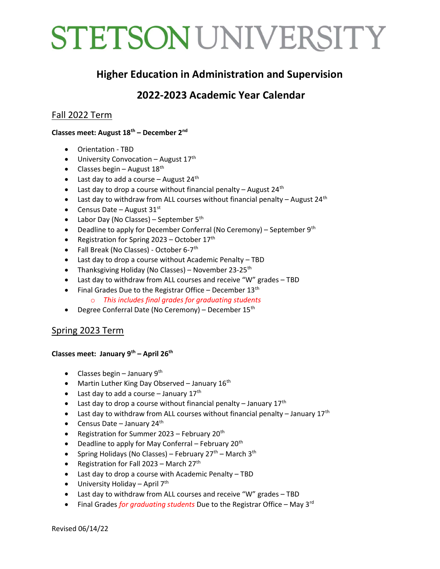# STETSON UNIVERSITY

## Higher Education in Administration and Supervision

# 2022-2023 Academic Year Calendar

## Fall 2022 Term

#### Classes meet: August 18<sup>th</sup> – December 2<sup>nd</sup>

- Orientation TBD
- $\bullet$  University Convocation August 17<sup>th</sup>
- Classes begin August  $18^{th}$
- Last day to add a course  $-$  August 24<sup>th</sup>
- Last day to drop a course without financial penalty August 24<sup>th</sup>
- Last day to withdraw from ALL courses without financial penalty August 24<sup>th</sup>
- Census Date August  $31<sup>st</sup>$
- Labor Day (No Classes) September  $5<sup>th</sup>$
- Deadline to apply for December Conferral (No Ceremony) September  $9<sup>th</sup>$
- Registration for Spring 2023 October  $17<sup>th</sup>$
- Fall Break (No Classes) October 6-7<sup>th</sup>
- Last day to drop a course without Academic Penalty TBD
- Thanksgiving Holiday (No Classes) November 23-25<sup>th</sup>
- Last day to withdraw from ALL courses and receive "W" grades TBD
- Final Grades Due to the Registrar Office December  $13<sup>th</sup>$ 
	- o This includes final grades for graduating students
- Degree Conferral Date (No Ceremony) December 15<sup>th</sup>

### Spring 2023 Term

#### Classes meet: January 9<sup>th</sup> – April 26<sup>th</sup>

- Classes begin January 9<sup>th</sup>
- Martin Luther King Day Observed January  $16<sup>th</sup>$
- Last day to add a course  $-$  January 17<sup>th</sup>
- Last day to drop a course without financial penalty January  $17<sup>th</sup>$
- Last day to withdraw from ALL courses without financial penalty January  $17<sup>th</sup>$
- Census Date January 24<sup>th</sup>
- **•** Registration for Summer 2023 February 20<sup>th</sup>
- $\bullet$  Deadline to apply for May Conferral February 20<sup>th</sup>
- Spring Holidays (No Classes) February 27<sup>th</sup> March 3<sup>th</sup>
- Registration for Fall 2023 March  $27<sup>th</sup>$
- Last day to drop a course with Academic Penalty TBD
- $\bullet$  University Holiday April 7<sup>th</sup>
- Last day to withdraw from ALL courses and receive "W" grades TBD
- Final Grades for graduating students Due to the Registrar Office May 3<sup>rd</sup>